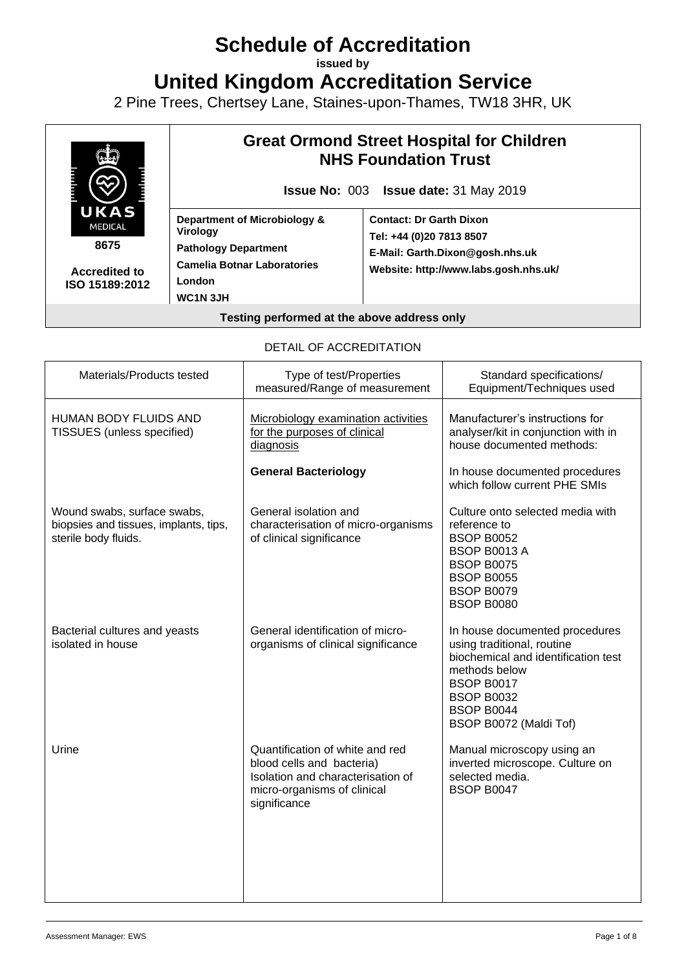# **Schedule of Accreditation**

**issued by**

**United Kingdom Accreditation Service**

2 Pine Trees, Chertsey Lane, Staines-upon-Thames, TW18 3HR, UK



**8675**

**Accredited to ISO 15189:2012**

## **Great Ormond Street Hospital for Children NHS Foundation Trust**

**Issue No:** 003 **Issue date:** 31 May 2019

**Department of Microbiology & Virology Pathology Department Camelia Botnar Laboratories London WC1N 3JH**

**Contact: Dr Garth Dixon Tel: +44 (0)20 7813 8507 E-Mail: Garth.Dixon@gosh.nhs.uk Website: http://www.labs.gosh.nhs.uk/**

#### **Testing performed at the above address only**

#### DETAIL OF ACCREDITATION

| Materials/Products tested                                                                    | Type of test/Properties<br>measured/Range of measurement                                                                                         | Standard specifications/<br>Equipment/Techniques used                                                                                                                                                         |
|----------------------------------------------------------------------------------------------|--------------------------------------------------------------------------------------------------------------------------------------------------|---------------------------------------------------------------------------------------------------------------------------------------------------------------------------------------------------------------|
| <b>HUMAN BODY FLUIDS AND</b><br>TISSUES (unless specified)                                   | Microbiology examination activities<br>for the purposes of clinical<br>diagnosis                                                                 | Manufacturer's instructions for<br>analyser/kit in conjunction with in<br>house documented methods:                                                                                                           |
|                                                                                              | <b>General Bacteriology</b>                                                                                                                      | In house documented procedures<br>which follow current PHE SMIs                                                                                                                                               |
| Wound swabs, surface swabs,<br>biopsies and tissues, implants, tips,<br>sterile body fluids. | General isolation and<br>characterisation of micro-organisms<br>of clinical significance                                                         | Culture onto selected media with<br>reference to<br><b>BSOP B0052</b><br><b>BSOP B0013 A</b><br><b>BSOP B0075</b><br><b>BSOP B0055</b><br><b>BSOP B0079</b><br><b>BSOP B0080</b>                              |
| Bacterial cultures and yeasts<br>isolated in house                                           | General identification of micro-<br>organisms of clinical significance                                                                           | In house documented procedures<br>using traditional, routine<br>biochemical and identification test<br>methods below<br><b>BSOP B0017</b><br><b>BSOP B0032</b><br><b>BSOP B0044</b><br>BSOP B0072 (Maldi Tof) |
| Urine                                                                                        | Quantification of white and red<br>blood cells and bacteria)<br>Isolation and characterisation of<br>micro-organisms of clinical<br>significance | Manual microscopy using an<br>inverted microscope. Culture on<br>selected media.<br><b>BSOP B0047</b>                                                                                                         |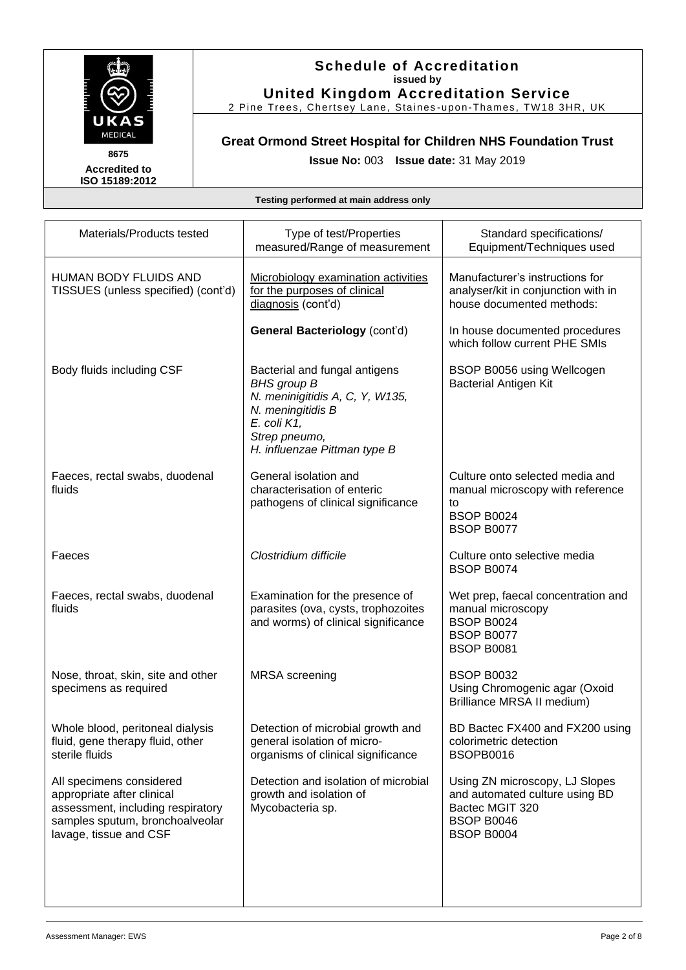

#### **Schedule of Accreditation issued by United Kingdom Accreditation Service**

2 Pine Trees, Chertsey Lane, Staines -upon-Thames, TW18 3HR, UK

## **Great Ormond Street Hospital for Children NHS Foundation Trust Issue No:** 003 **Issue date:** 31 May 2019

| Materials/Products tested                                                                                                                                | Type of test/Properties<br>measured/Range of measurement                                                                                                                           | Standard specifications/<br>Equipment/Techniques used                                                                         |
|----------------------------------------------------------------------------------------------------------------------------------------------------------|------------------------------------------------------------------------------------------------------------------------------------------------------------------------------------|-------------------------------------------------------------------------------------------------------------------------------|
| <b>HUMAN BODY FLUIDS AND</b><br>TISSUES (unless specified) (cont'd)                                                                                      | Microbiology examination activities<br>for the purposes of clinical<br>diagnosis (cont'd)                                                                                          | Manufacturer's instructions for<br>analyser/kit in conjunction with in<br>house documented methods:                           |
|                                                                                                                                                          | <b>General Bacteriology (cont'd)</b>                                                                                                                                               | In house documented procedures<br>which follow current PHE SMIs                                                               |
| Body fluids including CSF                                                                                                                                | Bacterial and fungal antigens<br><b>BHS</b> group <b>B</b><br>N. meninigitidis A, C, Y, W135,<br>N. meningitidis B<br>E. coli K1,<br>Strep pneumo,<br>H. influenzae Pittman type B | BSOP B0056 using Wellcogen<br><b>Bacterial Antigen Kit</b>                                                                    |
| Faeces, rectal swabs, duodenal<br>fluids                                                                                                                 | General isolation and<br>characterisation of enteric<br>pathogens of clinical significance                                                                                         | Culture onto selected media and<br>manual microscopy with reference<br>to<br><b>BSOP B0024</b><br><b>BSOP B0077</b>           |
| Faeces                                                                                                                                                   | Clostridium difficile                                                                                                                                                              | Culture onto selective media<br><b>BSOP B0074</b>                                                                             |
| Faeces, rectal swabs, duodenal<br>fluids                                                                                                                 | Examination for the presence of<br>parasites (ova, cysts, trophozoites<br>and worms) of clinical significance                                                                      | Wet prep, faecal concentration and<br>manual microscopy<br><b>BSOP B0024</b><br><b>BSOP B0077</b><br><b>BSOP B0081</b>        |
| Nose, throat, skin, site and other<br>specimens as required                                                                                              | <b>MRSA</b> screening                                                                                                                                                              | <b>BSOP B0032</b><br>Using Chromogenic agar (Oxoid<br>Brilliance MRSA II medium)                                              |
| Whole blood, peritoneal dialysis<br>fluid, gene therapy fluid, other<br>sterile fluids                                                                   | Detection of microbial growth and<br>general isolation of micro-<br>organisms of clinical significance                                                                             | BD Bactec FX400 and FX200 using<br>colorimetric detection<br>BSOPB0016                                                        |
| All specimens considered<br>appropriate after clinical<br>assessment, including respiratory<br>samples sputum, bronchoalveolar<br>lavage, tissue and CSF | Detection and isolation of microbial<br>growth and isolation of<br>Mycobacteria sp.                                                                                                | Using ZN microscopy, LJ Slopes<br>and automated culture using BD<br>Bactec MGIT 320<br><b>BSOP B0046</b><br><b>BSOP B0004</b> |
|                                                                                                                                                          |                                                                                                                                                                                    |                                                                                                                               |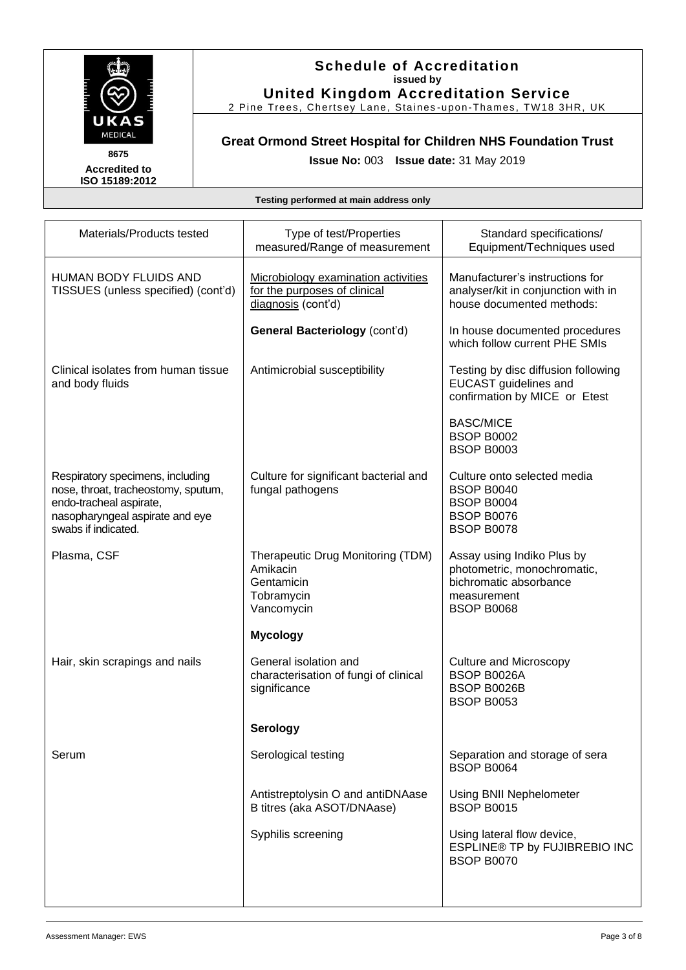

#### **Schedule of Accreditation issued by United Kingdom Accreditation Service**

2 Pine Trees, Chertsey Lane, Staines -upon-Thames, TW18 3HR, UK

## **Great Ormond Street Hospital for Children NHS Foundation Trust Issue No:** 003 **Issue date:** 31 May 2019

| Materials/Products tested                                                                                                                                    | Type of test/Properties<br>measured/Range of measurement                                  | Standard specifications/<br>Equipment/Techniques used                                                                   |
|--------------------------------------------------------------------------------------------------------------------------------------------------------------|-------------------------------------------------------------------------------------------|-------------------------------------------------------------------------------------------------------------------------|
| <b>HUMAN BODY FLUIDS AND</b><br>TISSUES (unless specified) (cont'd)                                                                                          | Microbiology examination activities<br>for the purposes of clinical<br>diagnosis (cont'd) | Manufacturer's instructions for<br>analyser/kit in conjunction with in<br>house documented methods:                     |
|                                                                                                                                                              | <b>General Bacteriology (cont'd)</b>                                                      | In house documented procedures<br>which follow current PHE SMIs                                                         |
| Clinical isolates from human tissue<br>and body fluids                                                                                                       | Antimicrobial susceptibility                                                              | Testing by disc diffusion following<br><b>EUCAST</b> guidelines and<br>confirmation by MICE or Etest                    |
|                                                                                                                                                              |                                                                                           | <b>BASC/MICE</b><br><b>BSOP B0002</b><br><b>BSOP B0003</b>                                                              |
| Respiratory specimens, including<br>nose, throat, tracheostomy, sputum,<br>endo-tracheal aspirate,<br>nasopharyngeal aspirate and eye<br>swabs if indicated. | Culture for significant bacterial and<br>fungal pathogens                                 | Culture onto selected media<br><b>BSOP B0040</b><br><b>BSOP B0004</b><br><b>BSOP B0076</b><br><b>BSOP B0078</b>         |
| Plasma, CSF                                                                                                                                                  | Therapeutic Drug Monitoring (TDM)<br>Amikacin<br>Gentamicin<br>Tobramycin<br>Vancomycin   | Assay using Indiko Plus by<br>photometric, monochromatic,<br>bichromatic absorbance<br>measurement<br><b>BSOP B0068</b> |
|                                                                                                                                                              | <b>Mycology</b>                                                                           |                                                                                                                         |
| Hair, skin scrapings and nails                                                                                                                               | General isolation and<br>characterisation of fungi of clinical<br>significance            | <b>Culture and Microscopy</b><br>BSOP B0026A<br>BSOP B0026B<br><b>BSOP B0053</b>                                        |
|                                                                                                                                                              | Serology                                                                                  |                                                                                                                         |
| Serum                                                                                                                                                        | Serological testing                                                                       | Separation and storage of sera<br><b>BSOP B0064</b>                                                                     |
|                                                                                                                                                              | Antistreptolysin O and antiDNAase<br>B titres (aka ASOT/DNAase)                           | Using BNII Nephelometer<br><b>BSOP B0015</b>                                                                            |
|                                                                                                                                                              | Syphilis screening                                                                        | Using lateral flow device,<br>ESPLINE® TP by FUJIBREBIO INC<br><b>BSOP B0070</b>                                        |
|                                                                                                                                                              |                                                                                           |                                                                                                                         |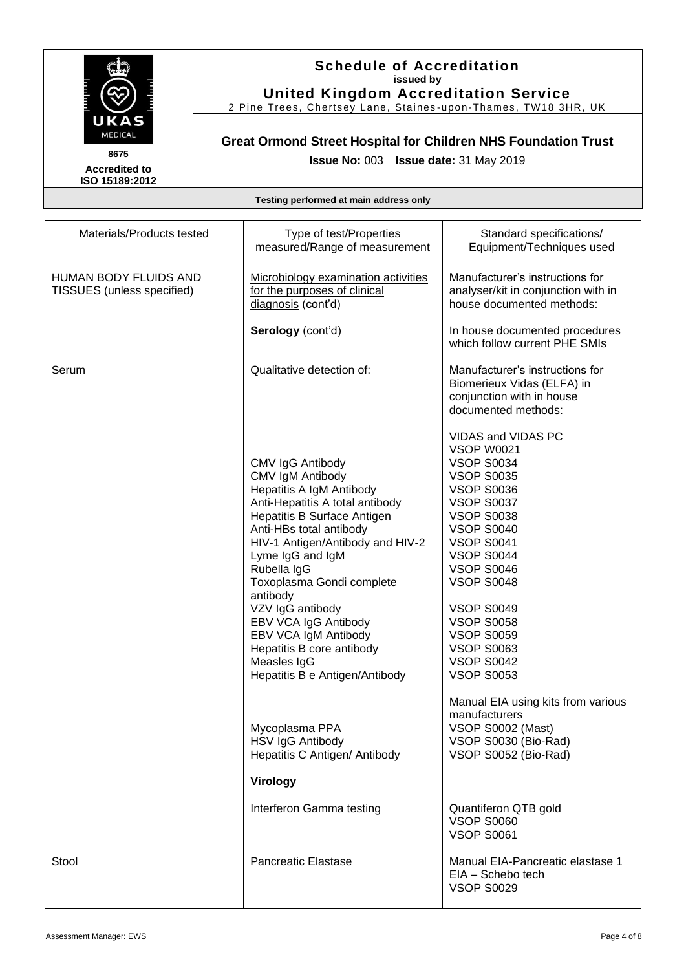

#### **Schedule of Accreditation issued by United Kingdom Accreditation Service**

2 Pine Trees, Chertsey Lane, Staines -upon-Thames, TW18 3HR, UK

## **Great Ormond Street Hospital for Children NHS Foundation Trust Issue No:** 003 **Issue date:** 31 May 2019

| Materials/Products tested                           | Type of test/Properties<br>measured/Range of measurement                                                                                                                                                                                                                                                                                                                                                                               | Standard specifications/<br>Equipment/Techniques used                                                                                                                                                                                                                                                                                                                                   |
|-----------------------------------------------------|----------------------------------------------------------------------------------------------------------------------------------------------------------------------------------------------------------------------------------------------------------------------------------------------------------------------------------------------------------------------------------------------------------------------------------------|-----------------------------------------------------------------------------------------------------------------------------------------------------------------------------------------------------------------------------------------------------------------------------------------------------------------------------------------------------------------------------------------|
| HUMAN BODY FLUIDS AND<br>TISSUES (unless specified) | Microbiology examination activities<br>for the purposes of clinical<br>diagnosis (cont'd)                                                                                                                                                                                                                                                                                                                                              | Manufacturer's instructions for<br>analyser/kit in conjunction with in<br>house documented methods:                                                                                                                                                                                                                                                                                     |
|                                                     | Serology (cont'd)                                                                                                                                                                                                                                                                                                                                                                                                                      | In house documented procedures<br>which follow current PHE SMIs                                                                                                                                                                                                                                                                                                                         |
| Serum                                               | Qualitative detection of:                                                                                                                                                                                                                                                                                                                                                                                                              | Manufacturer's instructions for<br>Biomerieux Vidas (ELFA) in<br>conjunction with in house<br>documented methods:                                                                                                                                                                                                                                                                       |
|                                                     | CMV IgG Antibody<br><b>CMV IgM Antibody</b><br>Hepatitis A IgM Antibody<br>Anti-Hepatitis A total antibody<br>Hepatitis B Surface Antigen<br>Anti-HBs total antibody<br>HIV-1 Antigen/Antibody and HIV-2<br>Lyme IgG and IgM<br>Rubella IgG<br>Toxoplasma Gondi complete<br>antibody<br>VZV IgG antibody<br>EBV VCA IgG Antibody<br>EBV VCA IgM Antibody<br>Hepatitis B core antibody<br>Measles IgG<br>Hepatitis B e Antigen/Antibody | VIDAS and VIDAS PC<br><b>VSOP W0021</b><br><b>VSOP S0034</b><br><b>VSOP S0035</b><br><b>VSOP S0036</b><br><b>VSOP S0037</b><br><b>VSOP S0038</b><br><b>VSOP S0040</b><br><b>VSOP S0041</b><br><b>VSOP S0044</b><br><b>VSOP S0046</b><br><b>VSOP S0048</b><br><b>VSOP S0049</b><br><b>VSOP S0058</b><br><b>VSOP S0059</b><br><b>VSOP S0063</b><br><b>VSOP S0042</b><br><b>VSOP S0053</b> |
|                                                     | Mycoplasma PPA<br>HSV IgG Antibody<br>Hepatitis C Antigen/ Antibody                                                                                                                                                                                                                                                                                                                                                                    | Manual EIA using kits from various<br>manufacturers<br>VSOP S0002 (Mast)<br>VSOP S0030 (Bio-Rad)<br>VSOP S0052 (Bio-Rad)                                                                                                                                                                                                                                                                |
|                                                     | Virology                                                                                                                                                                                                                                                                                                                                                                                                                               |                                                                                                                                                                                                                                                                                                                                                                                         |
|                                                     | Interferon Gamma testing                                                                                                                                                                                                                                                                                                                                                                                                               | Quantiferon QTB gold<br><b>VSOP S0060</b><br><b>VSOP S0061</b>                                                                                                                                                                                                                                                                                                                          |
| Stool                                               | <b>Pancreatic Elastase</b>                                                                                                                                                                                                                                                                                                                                                                                                             | Manual EIA-Pancreatic elastase 1<br>EIA - Schebo tech<br><b>VSOP S0029</b>                                                                                                                                                                                                                                                                                                              |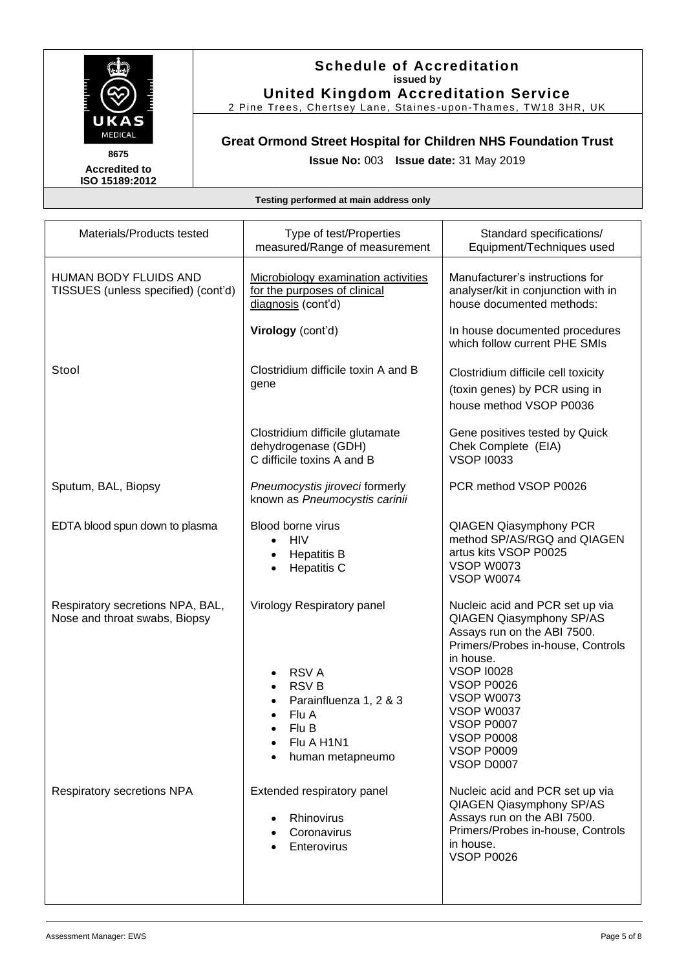

#### **Schedule of Accreditation issued by United Kingdom Accreditation Service**

2 Pine Trees, Chertsey Lane, Staines -upon-Thames, TW18 3HR, UK

## **Great Ormond Street Hospital for Children NHS Foundation Trust Issue No:** 003 **Issue date:** 31 May 2019

| Materials/Products tested                                           | Type of test/Properties<br>measured/Range of measurement                                                                               | Standard specifications/<br>Equipment/Techniques used                                                                                                                                                                                                                                                         |
|---------------------------------------------------------------------|----------------------------------------------------------------------------------------------------------------------------------------|---------------------------------------------------------------------------------------------------------------------------------------------------------------------------------------------------------------------------------------------------------------------------------------------------------------|
| <b>HUMAN BODY FLUIDS AND</b><br>TISSUES (unless specified) (cont'd) | Microbiology examination activities<br>for the purposes of clinical<br>diagnosis (cont'd)                                              | Manufacturer's instructions for<br>analyser/kit in conjunction with in<br>house documented methods:                                                                                                                                                                                                           |
|                                                                     | Virology (cont'd)                                                                                                                      | In house documented procedures<br>which follow current PHE SMIs                                                                                                                                                                                                                                               |
| Stool                                                               | Clostridium difficile toxin A and B<br>gene                                                                                            | Clostridium difficile cell toxicity<br>(toxin genes) by PCR using in<br>house method VSOP P0036                                                                                                                                                                                                               |
|                                                                     | Clostridium difficile glutamate<br>dehydrogenase (GDH)<br>C difficile toxins A and B                                                   | Gene positives tested by Quick<br>Chek Complete (EIA)<br><b>VSOP 10033</b>                                                                                                                                                                                                                                    |
| Sputum, BAL, Biopsy                                                 | Pneumocystis jiroveci formerly<br>known as Pneumocystis carinii                                                                        | PCR method VSOP P0026                                                                                                                                                                                                                                                                                         |
| EDTA blood spun down to plasma                                      | Blood borne virus<br><b>HIV</b><br>$\bullet$<br><b>Hepatitis B</b><br>$\bullet$<br><b>Hepatitis C</b><br>$\bullet$                     | <b>QIAGEN Qiasymphony PCR</b><br>method SP/AS/RGQ and QIAGEN<br>artus kits VSOP P0025<br><b>VSOP W0073</b><br><b>VSOP W0074</b>                                                                                                                                                                               |
| Respiratory secretions NPA, BAL,<br>Nose and throat swabs, Biopsy   | Virology Respiratory panel<br><b>RSVA</b><br><b>RSVB</b><br>Parainfluenza 1, 2 & 3<br>Flu A<br>Flu B<br>Flu A H1N1<br>human metapneumo | Nucleic acid and PCR set up via<br>QIAGEN Qiasymphony SP/AS<br>Assays run on the ABI 7500.<br>Primers/Probes in-house, Controls<br>in house.<br><b>VSOP 10028</b><br><b>VSOP P0026</b><br><b>VSOP W0073</b><br><b>VSOP W0037</b><br><b>VSOP P0007</b><br>VSOP P0008<br><b>VSOP P0009</b><br><b>VSOP D0007</b> |
| Respiratory secretions NPA                                          | Extended respiratory panel<br>Rhinovirus<br>Coronavirus<br>Enterovirus                                                                 | Nucleic acid and PCR set up via<br>QIAGEN Qiasymphony SP/AS<br>Assays run on the ABI 7500.<br>Primers/Probes in-house, Controls<br>in house.<br><b>VSOP P0026</b>                                                                                                                                             |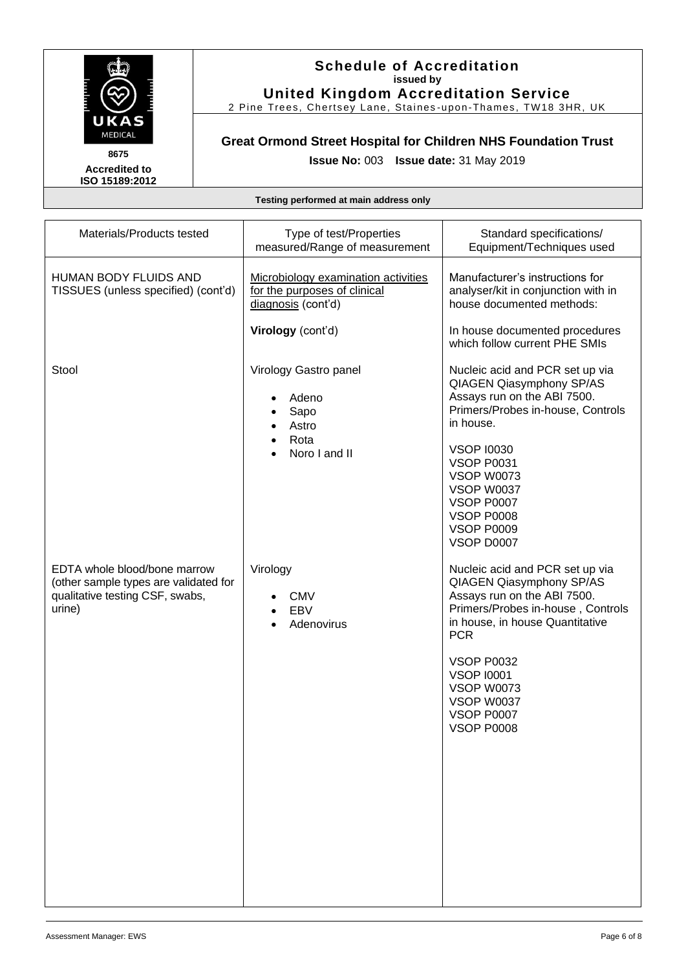

#### **Schedule of Accreditation issued by United Kingdom Accreditation Service**

2 Pine Trees, Chertsey Lane, Staines -upon-Thames, TW18 3HR, UK

## **Great Ormond Street Hospital for Children NHS Foundation Trust Issue No:** 003 **Issue date:** 31 May 2019

| Materials/Products tested                                                                                          | Type of test/Properties<br>measured/Range of measurement                                  | Standard specifications/<br>Equipment/Techniques used                                                                                                                                                                                                                                                                |
|--------------------------------------------------------------------------------------------------------------------|-------------------------------------------------------------------------------------------|----------------------------------------------------------------------------------------------------------------------------------------------------------------------------------------------------------------------------------------------------------------------------------------------------------------------|
| <b>HUMAN BODY FLUIDS AND</b><br>TISSUES (unless specified) (cont'd)                                                | Microbiology examination activities<br>for the purposes of clinical<br>diagnosis (cont'd) | Manufacturer's instructions for<br>analyser/kit in conjunction with in<br>house documented methods:                                                                                                                                                                                                                  |
|                                                                                                                    | Virology (cont'd)                                                                         | In house documented procedures<br>which follow current PHE SMIs                                                                                                                                                                                                                                                      |
| Stool                                                                                                              | Virology Gastro panel<br>Adeno<br>Sapo<br>Astro<br>Rota<br>Noro I and II                  | Nucleic acid and PCR set up via<br>QIAGEN Qiasymphony SP/AS<br>Assays run on the ABI 7500.<br>Primers/Probes in-house, Controls<br>in house.<br><b>VSOP 10030</b><br><b>VSOP P0031</b><br><b>VSOP W0073</b><br><b>VSOP W0037</b><br><b>VSOP P0007</b><br><b>VSOP P0008</b><br><b>VSOP P0009</b><br><b>VSOP D0007</b> |
| EDTA whole blood/bone marrow<br>(other sample types are validated for<br>qualitative testing CSF, swabs,<br>urine) | Virology<br><b>CMV</b><br>EBV<br>Adenovirus                                               | Nucleic acid and PCR set up via<br>QIAGEN Qiasymphony SP/AS<br>Assays run on the ABI 7500.<br>Primers/Probes in-house, Controls<br>in house, in house Quantitative<br><b>PCR</b><br><b>VSOP P0032</b><br><b>VSOP 10001</b><br><b>VSOP W0073</b><br><b>VSOP W0037</b><br><b>VSOP P0007</b><br><b>VSOP P0008</b>       |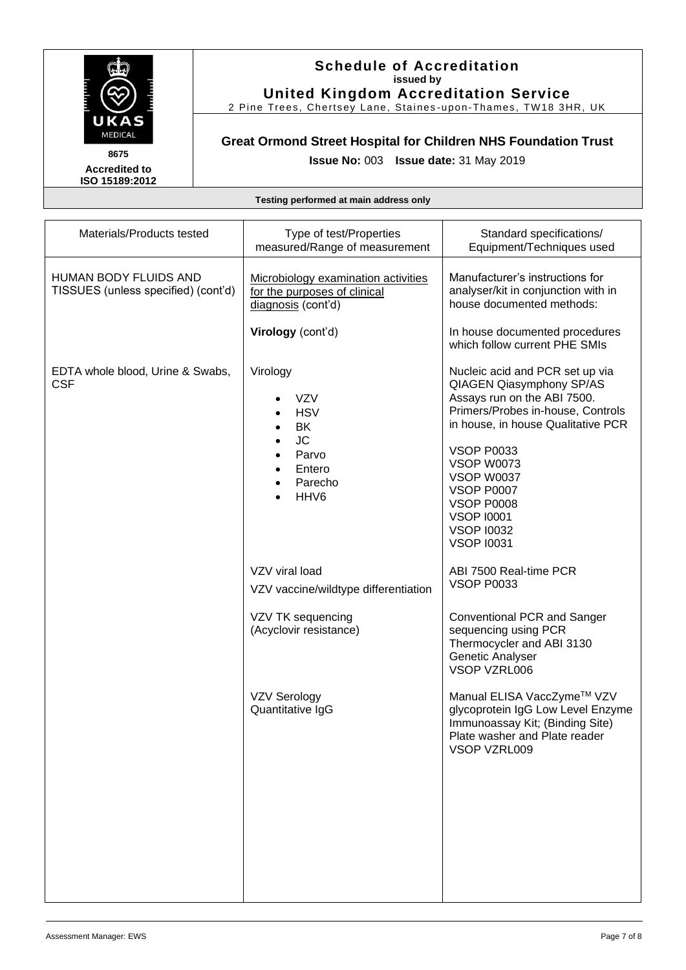

#### **Schedule of Accreditation issued by United Kingdom Accreditation Service**

2 Pine Trees, Chertsey Lane, Staines -upon-Thames, TW18 3HR, UK

## **Great Ormond Street Hospital for Children NHS Foundation Trust Issue No:** 003 **Issue date:** 31 May 2019

| Materials/Products tested                                    | Type of test/Properties<br>measured/Range of measurement                                                                                                                                | Standard specifications/<br>Equipment/Techniques used                                                                                                                                                                                                                                                                                         |
|--------------------------------------------------------------|-----------------------------------------------------------------------------------------------------------------------------------------------------------------------------------------|-----------------------------------------------------------------------------------------------------------------------------------------------------------------------------------------------------------------------------------------------------------------------------------------------------------------------------------------------|
| HUMAN BODY FLUIDS AND<br>TISSUES (unless specified) (cont'd) | Microbiology examination activities<br>for the purposes of clinical<br>diagnosis (cont'd)                                                                                               | Manufacturer's instructions for<br>analyser/kit in conjunction with in<br>house documented methods:                                                                                                                                                                                                                                           |
|                                                              | Virology (cont'd)                                                                                                                                                                       | In house documented procedures<br>which follow current PHE SMIs                                                                                                                                                                                                                                                                               |
| EDTA whole blood, Urine & Swabs,<br><b>CSF</b>               | Virology<br><b>VZV</b><br><b>HSV</b><br>BK<br>$\bullet$<br><b>JC</b><br>$\bullet$<br>Parvo<br>$\bullet$<br>Entero<br>$\bullet$<br>Parecho<br>$\bullet$<br>HHV <sub>6</sub><br>$\bullet$ | Nucleic acid and PCR set up via<br>QIAGEN Qiasymphony SP/AS<br>Assays run on the ABI 7500.<br>Primers/Probes in-house, Controls<br>in house, in house Qualitative PCR<br><b>VSOP P0033</b><br><b>VSOP W0073</b><br><b>VSOP W0037</b><br><b>VSOP P0007</b><br><b>VSOP P0008</b><br><b>VSOP 10001</b><br><b>VSOP 10032</b><br><b>VSOP 10031</b> |
|                                                              | VZV viral load<br>VZV vaccine/wildtype differentiation                                                                                                                                  | ABI 7500 Real-time PCR<br><b>VSOP P0033</b>                                                                                                                                                                                                                                                                                                   |
|                                                              | VZV TK sequencing<br>(Acyclovir resistance)                                                                                                                                             | Conventional PCR and Sanger<br>sequencing using PCR<br>Thermocycler and ABI 3130<br>Genetic Analyser<br>VSOP VZRL006                                                                                                                                                                                                                          |
|                                                              | <b>VZV Serology</b><br>Quantitative IgG                                                                                                                                                 | Manual ELISA VaccZyme™ VZV<br>glycoprotein IgG Low Level Enzyme<br>Immunoassay Kit; (Binding Site)<br>Plate washer and Plate reader<br>VSOP VZRL009                                                                                                                                                                                           |
|                                                              |                                                                                                                                                                                         |                                                                                                                                                                                                                                                                                                                                               |